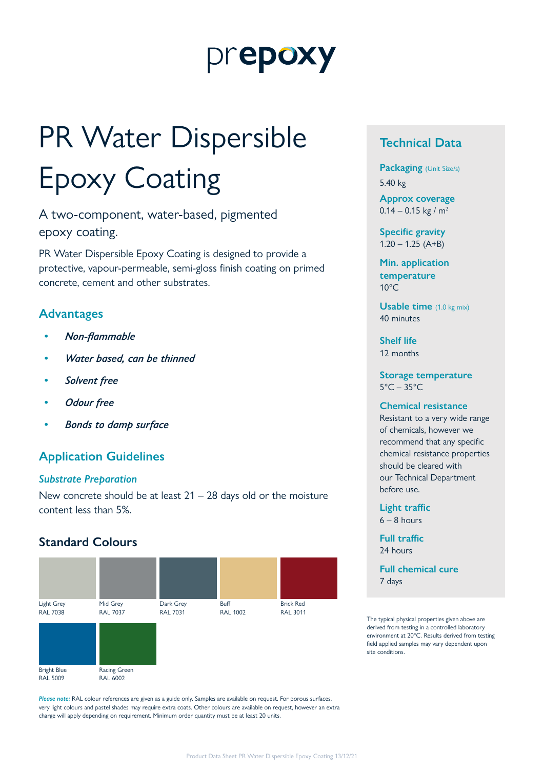# prepoxy

# PR Water Dispersible Epoxy Coating

A two-component, water-based, pigmented epoxy coating.

PR Water Dispersible Epoxy Coating is designed to provide a protective, vapour-permeable, semi-gloss finish coating on primed concrete, cement and other substrates.

# **Advantages**

- *• Non-flammable*
- *• Water based, can be thinned*
- *• Solvent free*
- *• Odour free*
- *• Bonds to damp surface*

# **Application Guidelines**

#### *Substrate Preparation*

New concrete should be at least  $21 - 28$  days old or the moisture content less than 5%.

### **Standard Colours**



*Please note:* RAL colour references are given as a guide only. Samples are available on request. For porous surfaces, very light colours and pastel shades may require extra coats. Other colours are available on request, however an extra charge will apply depending on requirement. Minimum order quantity must be at least 20 units.

# **Technical Data**

**Packaging** (Unit Size/s) 5.40 kg

**Approx coverage**  $0.14 - 0.15$  kg / m<sup>2</sup>

**Specific gravity**  $1.20 - 1.25$  (A+B)

**Min. application temperature**  $10^{\circ}$ C

**Usable time** (1.0 kg mix) 40 minutes

**Shelf life** 12 months

**Storage temperature**  $5^{\circ}$ C – 35 $^{\circ}$ C

#### **Chemical resistance**

Resistant to a very wide range of chemicals, however we recommend that any specific chemical resistance properties should be cleared with our Technical Department before use.

**Light traffic**  $6 - 8$  hours

**Full traffic**

24 hours

**Full chemical cure** 7 days

The typical physical properties given above are derived from testing in a controlled laboratory environment at 20°C. Results derived from testing field applied samples may vary dependent upon site conditions.